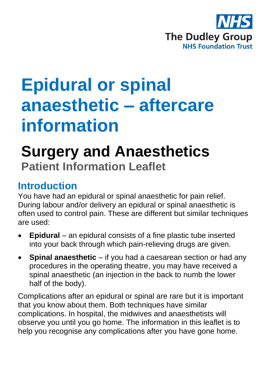

# **Epidural or spinal anaesthetic – aftercare information**

# **Surgery and Anaesthetics Patient Information Leaflet**

## **Introduction**

You have had an epidural or spinal anaesthetic for pain relief. During labour and/or delivery an epidural or spinal anaesthetic is often used to control pain. These are different but similar techniques are used:

- **Epidural** an epidural consists of a fine plastic tube inserted into your back through which pain-relieving drugs are given.
- **Spinal anaesthetic** if you had a caesarean section or had any procedures in the operating theatre, you may have received a spinal anaesthetic (an injection in the back to numb the lower half of the body).

Complications after an epidural or spinal are rare but it is important that you know about them. Both techniques have similar complications. In hospital, the midwives and anaesthetists will observe you until you go home. The information in this leaflet is to help you recognise any complications after you have gone home.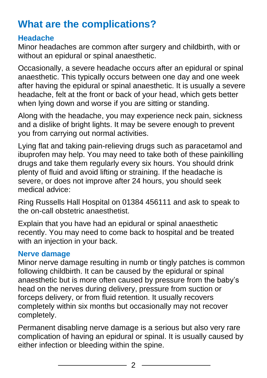# **What are the complications?**

#### **Headache**

Minor headaches are common after surgery and childbirth, with or without an epidural or spinal anaesthetic.

Occasionally, a severe headache occurs after an epidural or spinal anaesthetic. This typically occurs between one day and one week after having the epidural or spinal anaesthetic. It is usually a severe headache, felt at the front or back of your head, which gets better when lying down and worse if you are sitting or standing.

Along with the headache, you may experience neck pain, sickness and a dislike of bright lights. It may be severe enough to prevent you from carrying out normal activities.

Lying flat and taking pain-relieving drugs such as paracetamol and ibuprofen may help. You may need to take both of these painkilling drugs and take them regularly every six hours. You should drink plenty of fluid and avoid lifting or straining. If the headache is severe, or does not improve after 24 hours, you should seek medical advice:

Ring Russells Hall Hospital on 01384 456111 and ask to speak to the on-call obstetric anaesthetist.

Explain that you have had an epidural or spinal anaesthetic recently. You may need to come back to hospital and be treated with an injection in your back.

#### **Nerve damage**

Minor nerve damage resulting in numb or tingly patches is common following childbirth. It can be caused by the epidural or spinal anaesthetic but is more often caused by pressure from the baby's head on the nerves during delivery, pressure from suction or forceps delivery, or from fluid retention. It usually recovers completely within six months but occasionally may not recover completely.

Permanent disabling nerve damage is a serious but also very rare complication of having an epidural or spinal. It is usually caused by either infection or bleeding within the spine.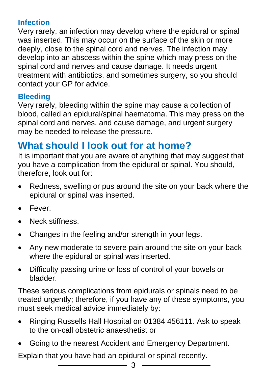#### **Infection**

Very rarely, an infection may develop where the epidural or spinal was inserted. This may occur on the surface of the skin or more deeply, close to the spinal cord and nerves. The infection may develop into an abscess within the spine which may press on the spinal cord and nerves and cause damage. It needs urgent treatment with antibiotics, and sometimes surgery, so you should contact your GP for advice.

#### **Bleeding**

Very rarely, bleeding within the spine may cause a collection of blood, called an epidural/spinal haematoma. This may press on the spinal cord and nerves, and cause damage, and urgent surgery may be needed to release the pressure.

# **What should I look out for at home?**

It is important that you are aware of anything that may suggest that you have a complication from the epidural or spinal. You should, therefore, look out for:

- Redness, swelling or pus around the site on your back where the epidural or spinal was inserted.
- Fever.
- Neck stiffness.
- Changes in the feeling and/or strength in your legs.
- Any new moderate to severe pain around the site on your back where the epidural or spinal was inserted.
- Difficulty passing urine or loss of control of your bowels or bladder.

These serious complications from epidurals or spinals need to be treated urgently; therefore, if you have any of these symptoms, you must seek medical advice immediately by:

- Ringing Russells Hall Hospital on 01384 456111. Ask to speak to the on-call obstetric anaesthetist or
- Going to the nearest Accident and Emergency Department.

Explain that you have had an epidural or spinal recently.